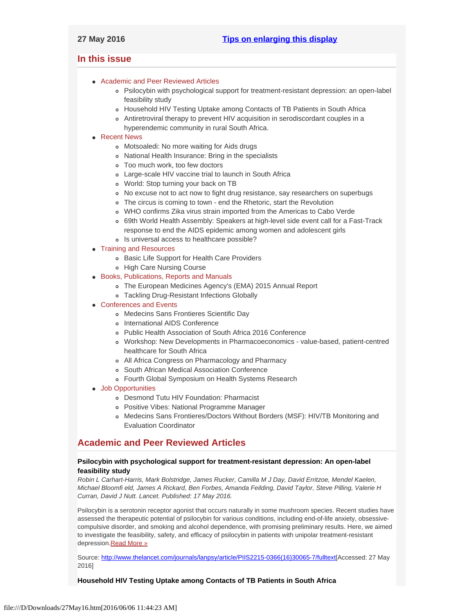## <span id="page-0-3"></span><span id="page-0-2"></span>**In this issue**

- [Academic and Peer Reviewed Articles](#page-0-0)
	- [Psilocybin with psychological support for treatment-resistant depression: an open-label](#page-0-1) [feasibility study](#page-0-1)
	- [Household HIV Testing Uptake among Contacts of TB Patients in South Africa](#page-0-1)
	- [Antiretroviral therapy to prevent HIV acquisition in serodiscordant couples in a](#page-1-0)
	- [hyperendemic community in rural South Africa.](#page-1-0)

## • [Recent News](#page-1-1)

- [Motsoaledi: No more waiting for Aids drugs](#page-1-2)
- [National Health Insurance: Bring in the specialists](#page-2-0)
- [Too much work, too few doctors](#page-1-3)
- [Large-scale HIV vaccine trial to launch in South Africa](#page-1-4)
- [World: Stop turning your back on TB](#page-1-4)
- [No excuse not to act now to fight drug resistance, say researchers on superbugs](#page-1-4)
- [The circus is coming to town end the Rhetoric, start the Revolution](#page-1-4)
- [WHO confirms Zika virus strain imported from the Americas to Cabo Verde](#page-2-1)
- [69th World Health Assembly: Speakers at high-level side event call for a Fast-Track](#page-2-2) [response to end the AIDS epidemic among women and adolescent girls](#page-2-2)
- o [Is universal access to healthcare possible?](#page-2-3)
- [Training and Resources](#page-4-0)
	- [Basic Life Support for Health Care Providers](#page-3-0)
	- o [High Care Nursing Course](#page-3-0)
- [Books, Publications, Reports and Manuals](#page-3-1)
	- [The European Medicines Agency's \(EMA\) 2015 Annual Report](#page-3-2)
	- [Tackling Drug-Resistant Infections Globally](#page-3-2)
- [Conferences and Events](#page-3-3)
	- [Medecins Sans Frontieres Scientific Day](#page-3-4)
	- o [International AIDS Conference](#page-3-5)
	- [Public Health Association of South Africa 2016 Conference](#page-3-6)
	- [Workshop: New Developments in Pharmacoeconomics value-based, patient-centred](#page-4-1) [healthcare for South Africa](#page-4-1)
	- [All Africa Congress on Pharmacology and Pharmacy](#page-4-2)
	- [South African Medical Association Conference](#page-4-3)
	- [Fourth Global Symposium on Health Systems Research](#page-4-4)
- [Job Opportunities](#page-0-2)
	- [Desmond Tutu HIV Foundation: Pharmacist](#page-4-5)
	- [Positive Vibes: National Programme Manager](#page-4-5)
	- [Medecins Sans Frontieres/Doctors Without Borders \(MSF\): HIV/TB Monitoring and](#page-4-6) [Evaluation Coordinator](#page-4-6)

# <span id="page-0-0"></span>**Academic and Peer Reviewed Articles**

## **Psilocybin with psychological support for treatment-resistant depression: An open-label feasibility study**

*Robin L Carhart-Harris, Mark Bolstridge, James Rucker, Camilla M J Day, David Erritzoe, Mendel Kaelen, Michael Bloomfi eld, James A Rickard, Ben Forbes, Amanda Feilding, David Taylor, Steve Pilling, Valerie H Curran, David J Nutt. Lancet. Published: 17 May 2016.*

Psilocybin is a serotonin receptor agonist that occurs naturally in some mushroom species. Recent studies have assessed the therapeutic potential of psilocybin for various conditions, including end-of-life anxiety, obsessivecompulsive disorder, and smoking and alcohol dependence, with promising preliminary results. Here, we aimed to investigate the feasibility, safety, and efficacy of psilocybin in patients with unipolar treatment-resistant depression. Read More »

Source: [http://www.thelancet.com/journals/lanpsy/article/PIIS2215-0366\(16\)30065-7/fulltext](http://www.thelancet.com/journals/lanpsy/article/PIIS2215-0366(16)30065-7/fulltext)[Accessed: 27 May 2016]

<span id="page-0-1"></span>**Household HIV Testing Uptake among Contacts of TB Patients in South Africa**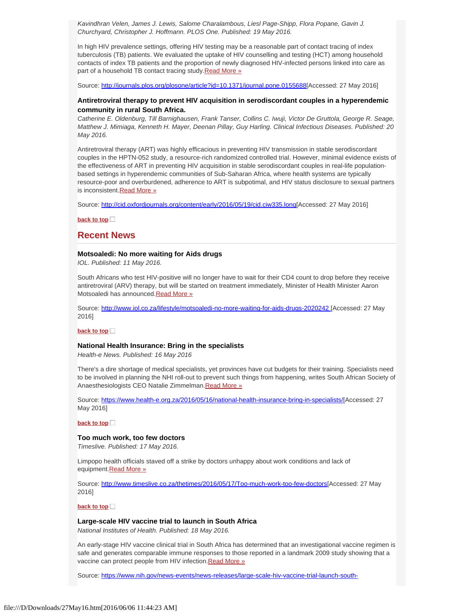*Kavindhran Velen, James J. Lewis, Salome Charalambous, Liesl Page-Shipp, Flora Popane, Gavin J. Churchyard, Christopher J. Hoffmann. PLOS One. Published: 19 May 2016.*

In high HIV prevalence settings, offering HIV testing may be a reasonable part of contact tracing of index tuberculosis (TB) patients. We evaluated the uptake of HIV counselling and testing (HCT) among household contacts of index TB patients and the proportion of newly diagnosed HIV-infected persons linked into care as part of a household TB contact tracing study. [Read More »](http://journals.plos.org/plosone/article?id=10.1371/journal.pone.0155688)

Source:<http://journals.plos.org/plosone/article?id=10.1371/journal.pone.0155688>[Accessed: 27 May 2016]

## <span id="page-1-0"></span>**Antiretroviral therapy to prevent HIV acquisition in serodiscordant couples in a hyperendemic community in rural South Africa.**

*Catherine E. Oldenburg, Till Barnighausen, Frank Tanser, Collins C. Iwuji, Victor De Gruttola, George R. Seage, Matthew J. Mimiaga, Kenneth H. Mayer, Deenan Pillay, Guy Harling. Clinical Infectious Diseases. Published: 20 May 2016.*

Antiretroviral therapy (ART) was highly efficacious in preventing HIV transmission in stable serodiscordant couples in the HPTN-052 study, a resource-rich randomized controlled trial. However, minimal evidence exists of the effectiveness of ART in preventing HIV acquisition in stable serodiscordant couples in real-life populationbased settings in hyperendemic communities of Sub-Saharan Africa, where health systems are typically resource-poor and overburdened, adherence to ART is subpotimal, and HIV status disclosure to sexual partners is inconsistent. Read More »

Source:<http://cid.oxfordjournals.org/content/early/2016/05/19/cid.ciw335.long>[Accessed: 27 May 2016]

**[back to top](#page-0-3)**

## <span id="page-1-1"></span>**Recent News**

#### <span id="page-1-2"></span>**Motsoaledi: No more waiting for Aids drugs**

*IOL. Published: 11 May 2016.*

South Africans who test HIV-positive will no longer have to wait for their CD4 count to drop before they receive antiretroviral (ARV) therapy, but will be started on treatment immediately, Minister of Health Minister Aaron Motsoaledi has announced. [Read More »](http://www.hst.org.za/news/motsoaledi-no-more-waiting-aids-drugs)

Source:<http://www.iol.co.za/lifestyle/motsoaledi-no-more-waiting-for-aids-drugs-2020242>[Accessed: 27 May 2016]

**[back to top](#page-0-3)**

## **National Health Insurance: Bring in the specialists**

*Health-e News. Published: 16 May 2016*

There's a dire shortage of medical specialists, yet provinces have cut budgets for their training. Specialists need to be involved in planning the NHI roll-out to prevent such things from happening, writes South African Society of Anaesthesiologists CEO Natalie Zimmelman[.Read More »](http://www.hst.org.za/news/national-health-insurance-bring-specialists)

Source:<https://www.health-e.org.za/2016/05/16/national-health-insurance-bring-in-specialists/>[Accessed: 27 May 2016]

**[back to top](#page-0-3)**

## <span id="page-1-3"></span>**Too much work, too few doctors**

*Timeslive. Published: 17 May 2016.*

Limpopo health officials staved off a strike by doctors unhappy about work conditions and lack of equipment. [Read More »](http://www.hst.org.za/news/too-much-work-too-few-doctors)

Source:<http://www.timeslive.co.za/thetimes/2016/05/17/Too-much-work-too-few-doctors>[Accessed: 27 May 2016]

**[back to top](#page-0-3)**

## <span id="page-1-4"></span>**Large-scale HIV vaccine trial to launch in South Africa**

*National Institutes of Health. Published: 18 May 2016.*

An early-stage HIV vaccine clinical trial in South Africa has determined that an investigational vaccine regimen is safe and generates comparable immune responses to those reported in a landmark 2009 study showing that a vaccine can protect people from HIV infection. Read More »

Source: [https://www.nih.gov/news-events/news-releases/large-scale-hiv-vaccine-trial-launch-south-](https://www.nih.gov/news-events/news-releases/large-scale-hiv-vaccine-trial-launch-south-africa)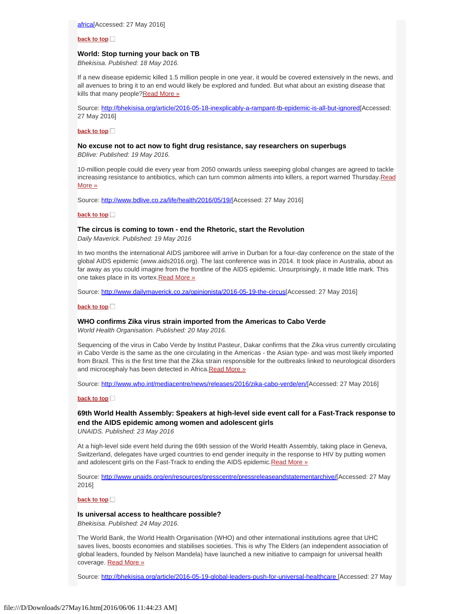#### **[back to top](#page-0-3)**

### <span id="page-2-0"></span>**World: Stop turning your back on TB**

*Bhekisisa. Published: 18 May 2016.*

If a new disease epidemic killed 1.5 million people in one year, it would be covered extensively in the news, and all avenues to bring it to an end would likely be explored and funded. But what about an existing disease that kills that many people[?Read More »](http://www.hst.org.za/news/world-stop-turning-your-back-tb)

Source:<http://bhekisisa.org/article/2016-05-18-inexplicably-a-rampant-tb-epidemic-is-all-but-ignored>[Accessed: 27 May 2016]

#### **[back to top](#page-0-3)**

# **No excuse not to act now to fight drug resistance, say researchers on superbugs**

*BDlive: Published: 19 May 2016.*

10-million people could die every year from 2050 onwards unless sweeping global changes are agreed to tackle increasing resistance to antibiotics, which can turn common ailments into killers, a report warned Thursday[.Read](http://www.hst.org.za/news/no-excuse-not-act-now-fight-drug-resistance-say-researchers-superbugs) [More »](http://www.hst.org.za/news/no-excuse-not-act-now-fight-drug-resistance-say-researchers-superbugs)

Source: [http://www.bdlive.co.za/life/health/2016/05/19/](http://www.bdlive.co.za/life/health/2016/05/19/no-excuse-not-to-act-now-to-fight-drug-resistance-say-researchers-on-superbugs)[Accessed: 27 May 2016]

## **[back to top](#page-0-3)**

## **The circus is coming to town - end the Rhetoric, start the Revolution**

*Daily Maverick. Published: 19 May 2016*

In two months the international AIDS jamboree will arrive in Durban for a four-day conference on the state of the global AIDS epidemic (www.aids2016.org). The last conference was in 2014. It took place in Australia, about as far away as you could imagine from the frontline of the AIDS epidemic. Unsurprisingly, it made little mark. This one takes place in its vortex. Read More »

Source: [http://www.dailymaverick.co.za/opinionista/2016-05-19-the-circus](http://www.dailymaverick.co.za/opinionista/2016-05-19-the-circus-is-coming-to-town-end-the-rhetoric-start-the-revolution/#.V0a_4Y9OLIU)[Accessed: 27 May 2016]

### **[back to top](#page-0-3)**

#### <span id="page-2-1"></span>**WHO confirms Zika virus strain imported from the Americas to Cabo Verde**

*World Health Organisation. Published: 20 May 2016.*

Sequencing of the virus in Cabo Verde by Institut Pasteur, Dakar confirms that the Zika virus currently circulating in Cabo Verde is the same as the one circulating in the Americas - the Asian type- and was most likely imported from Brazil. This is the first time that the Zika strain responsible for the outbreaks linked to neurological disorders and microcephaly has been detected in Africa[.Read More »](http://www.hst.org.za/news/who-confirms-zika-virus-strain-imported-americas-cabo-verde)

Source:<http://www.who.int/mediacentre/news/releases/2016/zika-cabo-verde/en/>[Accessed: 27 May 2016]

#### **[back to top](#page-0-3)**

## <span id="page-2-2"></span>**69th World Health Assembly: Speakers at high-level side event call for a Fast-Track response to end the AIDS epidemic among women and adolescent girls**

*UNAIDS. Published: 23 May 2016*

At a high-level side event held during the 69th session of the World Health Assembly, taking place in Geneva, Switzerland, delegates have urged countries to end gender inequity in the response to HIV by putting women and adolescent girls on the Fast-Track to ending the AIDS epidemic[.Read More »](http://www.hst.org.za/news/69th-world-health-assembly-speakers-high-level-side-event-call-fast-track-response-end-aids-epi)

Source: [http://www.unaids.org/en/resources/presscentre/pressreleaseandstatementarchive/](http://www.unaids.org/en/resources/presscentre/pressreleaseandstatementarchive/2016/may/20160523_WHA_women-girls)[Accessed: 27 May 2016]

**[back to top](#page-0-3)**

### <span id="page-2-3"></span>**Is universal access to healthcare possible?**

*Bhekisisa. Published: 24 May 2016.*

The World Bank, the World Health Organisation (WHO) and other international institutions agree that UHC saves lives, boosts economies and stabilises societies. This is why The Elders (an independent association of global leaders, founded by Nelson Mandela) have launched a new initiative to campaign for universal health coverage. [Read More »](http://www.hst.org.za/news/universal-access-healthcare-possible)

Source:<http://bhekisisa.org/article/2016-05-19-global-leaders-push-for-universal-healthcare>[Accessed: 27 May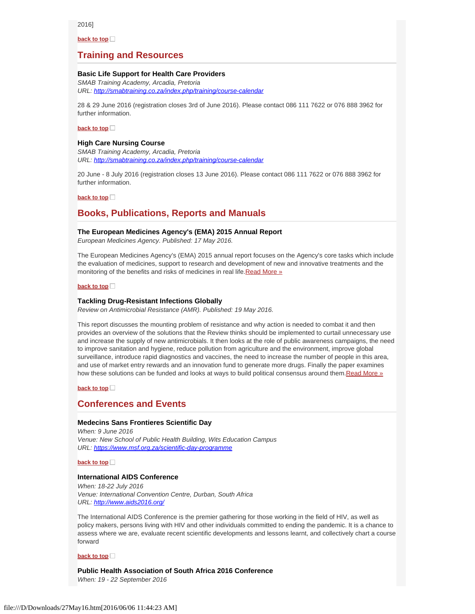2016]

**[back to top](#page-0-3)**

## **Training and Resources**

## **Basic Life Support for Health Care Providers**

*SMAB Training Academy, Arcadia, Pretoria URL:<http://smabtraining.co.za/index.php/training/course-calendar>*

28 & 29 June 2016 (registration closes 3rd of June 2016). Please contact 086 111 7622 or 076 888 3962 for further information.

### **[back to top](#page-0-3)**

## <span id="page-3-0"></span>**High Care Nursing Course**

*SMAB Training Academy, Arcadia, Pretoria URL:<http://smabtraining.co.za/index.php/training/course-calendar>*

20 June - 8 July 2016 (registration closes 13 June 2016). Please contact 086 111 7622 or 076 888 3962 for further information.

**[back to top](#page-0-3)**

## <span id="page-3-1"></span>**Books, Publications, Reports and Manuals**

## **The European Medicines Agency's (EMA) 2015 Annual Report**

*European Medicines Agency. Published: 17 May 2016.*

The European Medicines Agency's (EMA) 2015 annual report focuses on the Agency's core tasks which include the evaluation of medicines, support to research and development of new and innovative treatments and the monitoring of the benefits and risks of medicines in real life. Read More »

### **[back to top](#page-0-3)**

#### <span id="page-3-2"></span>**Tackling Drug-Resistant Infections Globally**

*Review on Antimicrobial Resistance (AMR). Published: 19 May 2016.*

This report discusses the mounting problem of resistance and why action is needed to combat it and then provides an overview of the solutions that the Review thinks should be implemented to curtail unnecessary use and increase the supply of new antimicrobials. It then looks at the role of public awareness campaigns, the need to improve sanitation and hygiene, reduce pollution from agriculture and the environment, improve global surveillance, introduce rapid diagnostics and vaccines, the need to increase the number of people in this area, and use of market entry rewards and an innovation fund to generate more drugs. Finally the paper examines how these solutions can be funded and looks at ways to build political consensus around them. Read More »

**[back to top](#page-0-3)**

## <span id="page-3-3"></span>**Conferences and Events**

## <span id="page-3-4"></span>**Medecins Sans Frontieres Scientific Day**

*When: 9 June 2016 Venue: New School of Public Health Building, Wits Education Campus URL:<https://www.msf.org.za/scientific-day-programme>*

**[back to top](#page-0-3)**

## <span id="page-3-5"></span>**International AIDS Conference**

*When: 18-22 July 2016 Venue: International Convention Centre, Durban, South Africa URL:<http://www.aids2016.org/>*

The International AIDS Conference is the premier gathering for those working in the field of HIV, as well as policy makers, persons living with HIV and other individuals committed to ending the pandemic. It is a chance to assess where we are, evaluate recent scientific developments and lessons learnt, and collectively chart a course forward

**[back to top](#page-0-3)**

<span id="page-3-6"></span>**Public Health Association of South Africa 2016 Conference** *When: 19 - 22 September 2016*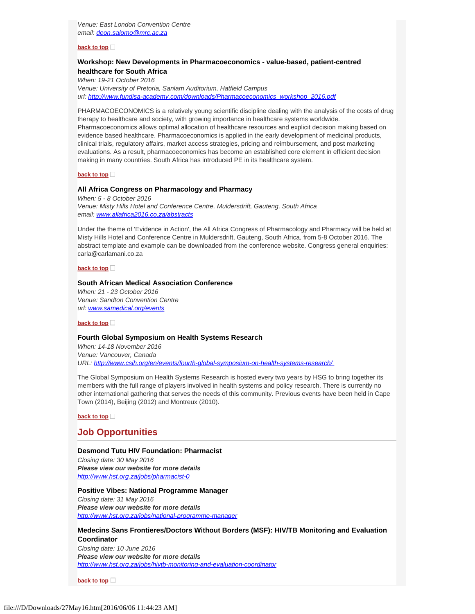## **[back to top](#page-0-3)**

## <span id="page-4-1"></span>**Workshop: New Developments in Pharmacoeconomics - value-based, patient-centred healthcare for South Africa**

*When: 19-21 October 2016 Venue: University of Pretoria, Sanlam Auditorium, Hatfield Campus url: [http://www.fundisa-academy.com/downloads/Pharmacoeconomics\\_workshop\\_2016.pdf](http://www.fundisa-academy.com/downloads/Pharmacoeconomics_workshop_2016.pdf)*

PHARMACOECONOMICS is a relatively young scientific discipline dealing with the analysis of the costs of drug therapy to healthcare and society, with growing importance in healthcare systems worldwide. Pharmacoeconomics allows optimal allocation of healthcare resources and explicit decision making based on evidence based healthcare. Pharmacoeconomics is applied in the early development of medicinal products, clinical trials, regulatory affairs, market access strategies, pricing and reimbursement, and post marketing evaluations. As a result, pharmacoeconomics has become an established core element in efficient decision making in many countries. South Africa has introduced PE in its healthcare system.

## **[back to top](#page-0-3)**

## <span id="page-4-2"></span>**All Africa Congress on Pharmacology and Pharmacy**

*When: 5 - 8 October 2016 Venue: Misty Hills Hotel and Conference Centre, Muldersdrift, Gauteng, South Africa email: [www.allafrica2016.co.za/abstracts](file:///D/Downloads/www.allafrica2016.co.za/abstracts)*

Under the theme of 'Evidence in Action', the All Africa Congress of Pharmacology and Pharmacy will be held at Misty Hills Hotel and Conference Centre in Muldersdrift, Gauteng, South Africa, from 5-8 October 2016. The abstract template and example can be downloaded from the conference website. Congress general enquiries: carla@carlamani.co.za

## **[back to top](#page-0-3)**

## <span id="page-4-3"></span>**South African Medical Association Conference**

*When: 21 - 23 October 2016 Venue: Sandton Convention Centre url: [www.samedical.org/events](file:///D/Downloads/www.samedical.org/events)*

### **[back to top](#page-0-3)**

## <span id="page-4-4"></span>**Fourth Global Symposium on Health Systems Research**

*When: 14-18 November 2016 Venue: Vancouver, Canada URL:<http://www.csih.org/en/events/fourth-global-symposium-on-health-systems-research/>*

The Global Symposium on Health Systems Research is hosted every two years by HSG to bring together its members with the full range of players involved in health systems and policy research. There is currently no other international gathering that serves the needs of this community. Previous events have been held in Cape Town (2014), Beijing (2012) and Montreux (2010).

**[back to top](#page-0-3)**

## **Job Opportunities**

### <span id="page-4-0"></span>**Desmond Tutu HIV Foundation: Pharmacist**

*Closing date: 30 May 2016 Please view our website for more details <http://www.hst.org.za/jobs/pharmacist-0>*

#### <span id="page-4-5"></span>**Positive Vibes: National Programme Manager**

*Closing date: 31 May 2016 Please view our website for more details <http://www.hst.org.za/jobs/national-programme-manager>*

## <span id="page-4-6"></span>**Medecins Sans Frontieres/Doctors Without Borders (MSF): HIV/TB Monitoring and Evaluation Coordinator**

*Closing date: 10 June 2016 Please view our website for more details <http://www.hst.org.za/jobs/hivtb-monitoring-and-evaluation-coordinator>*

**[back to top](#page-0-3)**